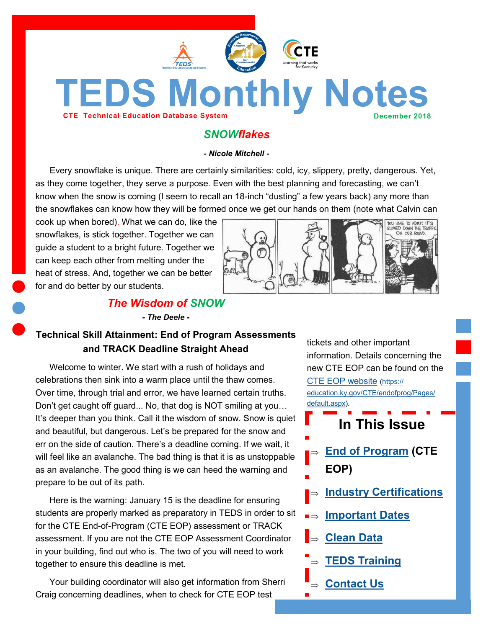

<span id="page-0-0"></span>**TEDS Monthly Notes** 

# *SNOWflakes*

*- Nicole Mitchell -*

Every snowflake is unique. There are certainly similarities: cold, icy, slippery, pretty, dangerous. Yet, as they come together, they serve a purpose. Even with the best planning and forecasting, we can't know when the snow is coming (I seem to recall an 18-inch "dusting" a few years back) any more than the snowflakes can know how they will be formed once we get our hands on them (note what Calvin can

cook up when bored). What we can do, like the snowflakes, is stick together. Together we can guide a student to a bright future. Together we can keep each other from melting under the heat of stress. And, together we can be better for and do better by our students.



## *The Wisdom of SNOW*

*- The Deele -*

## **Technical Skill Attainment: End of Program Assessments and TRACK Deadline Straight Ahead**

Welcome to winter. We start with a rush of holidays and celebrations then sink into a warm place until the thaw comes. Over time, through trial and error, we have learned certain truths. Don't get caught off guard... No, that dog is NOT smiling at you… It's deeper than you think. Call it the wisdom of snow. Snow is quiet and beautiful, but dangerous. Let's be prepared for the snow and err on the side of caution. There's a deadline coming. If we wait, it will feel like an avalanche. The bad thing is that it is as unstoppable as an avalanche. The good thing is we can heed the warning and prepare to be out of its path.

Here is the warning: January 15 is the deadline for ensuring students are properly marked as preparatory in TEDS in order to sit for the CTE End-of-Program (CTE EOP) assessment or TRACK assessment. If you are not the CTE EOP Assessment Coordinator in your building, find out who is. The two of you will need to work together to ensure this deadline is met.

Your building coordinator will also get information from Sherri Craig concerning deadlines, when to check for CTE EOP test

tickets and other important information. Details concerning the new CTE EOP can be found on the [CTE EOP website](https://education.ky.gov/CTE/endofprog/Pages/default.aspx) ([https://](https://education.ky.gov/CTE/endofprog/Pages/default.aspx) [education.ky.gov/CTE/endofprog/Pages/](https://education.ky.gov/CTE/endofprog/Pages/default.aspx) [default.aspx\)](https://education.ky.gov/CTE/endofprog/Pages/default.aspx).

**In This Issue**

- **[End of Program](#page-0-0) (CTE EOP)**
- **[Industry Certifications](#page-1-0)**
- **[Important Dates](#page-1-0)**
- **[Clean Data](#page-2-0)**
- **[TEDS Training](#page-3-0)**
- **[Contact Us](#page-3-0)**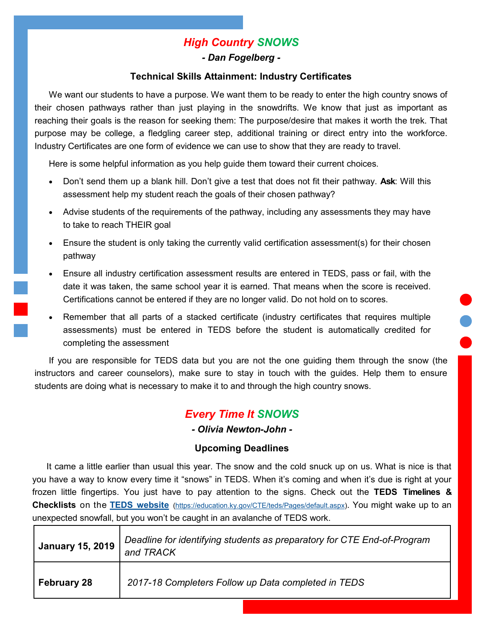# *High Country SNOWS*

### *- Dan Fogelberg -*

### **Technical Skills Attainment: Industry Certificates**

<span id="page-1-0"></span>We want our students to have a purpose. We want them to be ready to enter the high country snows of their chosen pathways rather than just playing in the snowdrifts. We know that just as important as reaching their goals is the reason for seeking them: The purpose/desire that makes it worth the trek. That purpose may be college, a fledgling career step, additional training or direct entry into the workforce. Industry Certificates are one form of evidence we can use to show that they are ready to travel.

Here is some helpful information as you help guide them toward their current choices.

- Don't send them up a blank hill. Don't give a test that does not fit their pathway. **Ask**: Will this assessment help my student reach the goals of their chosen pathway?
- Advise students of the requirements of the pathway, including any assessments they may have to take to reach THEIR goal
- Ensure the student is only taking the currently valid certification assessment(s) for their chosen pathway
- Ensure all industry certification assessment results are entered in TEDS, pass or fail, with the date it was taken, the same school year it is earned. That means when the score is received. Certifications cannot be entered if they are no longer valid. Do not hold on to scores.
- Remember that all parts of a stacked certificate (industry certificates that requires multiple assessments) must be entered in TEDS before the student is automatically credited for completing the assessment

If you are responsible for TEDS data but you are not the one guiding them through the snow (the instructors and career counselors), make sure to stay in touch with the guides. Help them to ensure students are doing what is necessary to make it to and through the high country snows.

# *Every Time It SNOWS*

*- Olivia Newton-John -*

### **Upcoming Deadlines**

It came a little earlier than usual this year. The snow and the cold snuck up on us. What is nice is that you have a way to know every time it "snows" in TEDS. When it's coming and when it's due is right at your frozen little fingertips. You just have to pay attention to the signs. Check out the **TEDS Timelines & Checklists** on the **[TEDS website](https://education.ky.gov/CTE/teds/Pages/default.aspx)** [\(https://education.ky.gov/CTE/teds/Pages/default.aspx\)](https://education.ky.gov/CTE/teds/Pages/default.aspx). You might wake up to an unexpected snowfall, but you won't be caught in an avalanche of TEDS work.

| January 15, 2019 | Deadline for identifying students as preparatory for CTE End-of-Program<br>and TRACK |
|------------------|--------------------------------------------------------------------------------------|
| February 28      | 2017-18 Completers Follow up Data completed in TEDS                                  |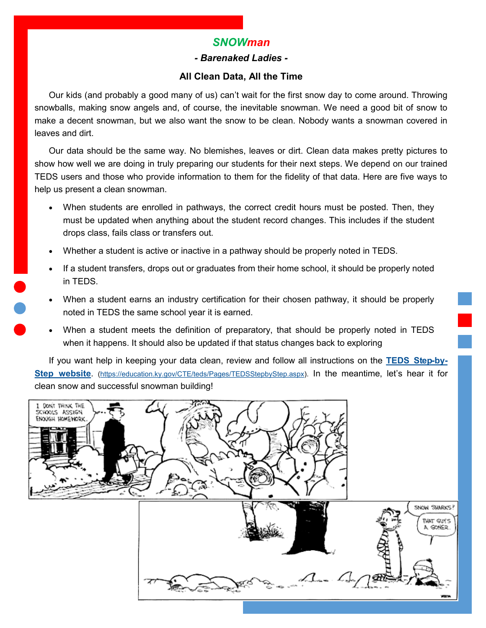## *SNOWman*

#### *- Barenaked Ladies -*

#### **All Clean Data, All the Time**

<span id="page-2-0"></span>Our kids (and probably a good many of us) can't wait for the first snow day to come around. Throwing snowballs, making snow angels and, of course, the inevitable snowman. We need a good bit of snow to make a decent snowman, but we also want the snow to be clean. Nobody wants a snowman covered in leaves and dirt.

Our data should be the same way. No blemishes, leaves or dirt. Clean data makes pretty pictures to show how well we are doing in truly preparing our students for their next steps. We depend on our trained TEDS users and those who provide information to them for the fidelity of that data. Here are five ways to help us present a clean snowman.

- When students are enrolled in pathways, the correct credit hours must be posted. Then, they must be updated when anything about the student record changes. This includes if the student drops class, fails class or transfers out.
- Whether a student is active or inactive in a pathway should be properly noted in TEDS.
- If a student transfers, drops out or graduates from their home school, it should be properly noted in TEDS.
- When a student earns an industry certification for their chosen pathway, it should be properly noted in TEDS the same school year it is earned.
- When a student meets the definition of preparatory, that should be properly noted in TEDS when it happens. It should also be updated if that status changes back to exploring

If you want help in keeping your data clean, review and follow all instructions on the **[TEDS Step](https://education.ky.gov/CTE/teds/Pages/TEDSStepbyStep.aspx)-by-[Step website](https://education.ky.gov/CTE/teds/Pages/TEDSStepbyStep.aspx)**. [\(https://education.ky.gov/CTE/teds/Pages/TEDSStepbyStep.aspx\)](https://education.ky.gov/CTE/teds/Pages/TEDSStepbyStep.aspx). In the meantime, let's hear it for clean snow and successful snowman building!